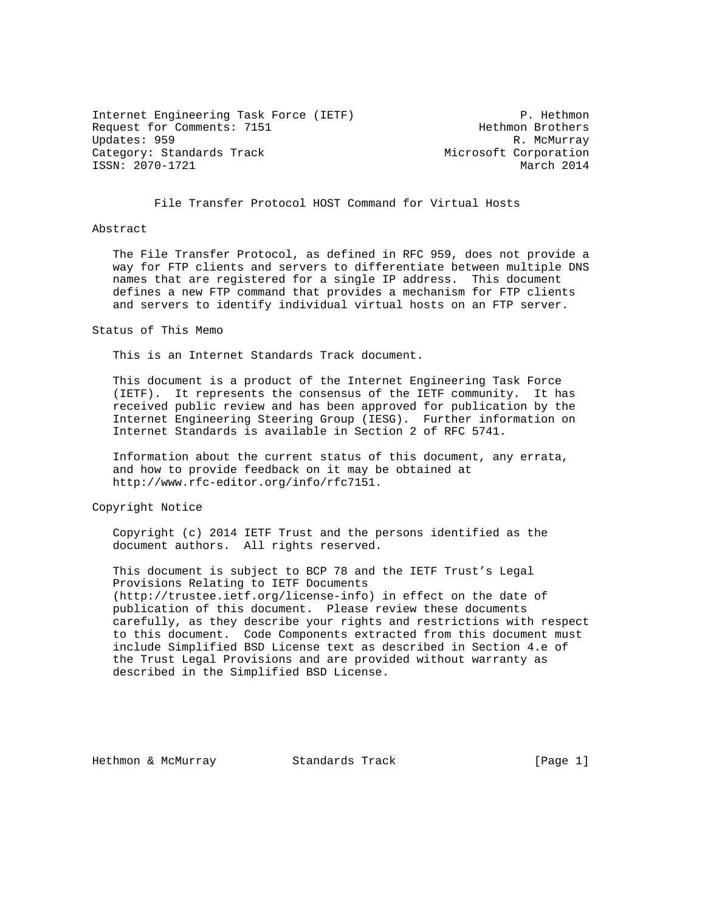Internet Engineering Task Force (IETF) P. Hethmon Request for Comments: 7151 Hethmon Brothers Updates: 959 R. McMurray Category: Standards Track Microsoft Corporation ISSN: 2070-1721 March 2014

File Transfer Protocol HOST Command for Virtual Hosts

#### Abstract

 The File Transfer Protocol, as defined in RFC 959, does not provide a way for FTP clients and servers to differentiate between multiple DNS names that are registered for a single IP address. This document defines a new FTP command that provides a mechanism for FTP clients and servers to identify individual virtual hosts on an FTP server.

Status of This Memo

This is an Internet Standards Track document.

 This document is a product of the Internet Engineering Task Force (IETF). It represents the consensus of the IETF community. It has received public review and has been approved for publication by the Internet Engineering Steering Group (IESG). Further information on Internet Standards is available in Section 2 of RFC 5741.

 Information about the current status of this document, any errata, and how to provide feedback on it may be obtained at http://www.rfc-editor.org/info/rfc7151.

Copyright Notice

 Copyright (c) 2014 IETF Trust and the persons identified as the document authors. All rights reserved.

 This document is subject to BCP 78 and the IETF Trust's Legal Provisions Relating to IETF Documents (http://trustee.ietf.org/license-info) in effect on the date of publication of this document. Please review these documents carefully, as they describe your rights and restrictions with respect to this document. Code Components extracted from this document must include Simplified BSD License text as described in Section 4.e of the Trust Legal Provisions and are provided without warranty as described in the Simplified BSD License.

Hethmon & McMurray  $\sim$  Standards Track  $[Page 1]$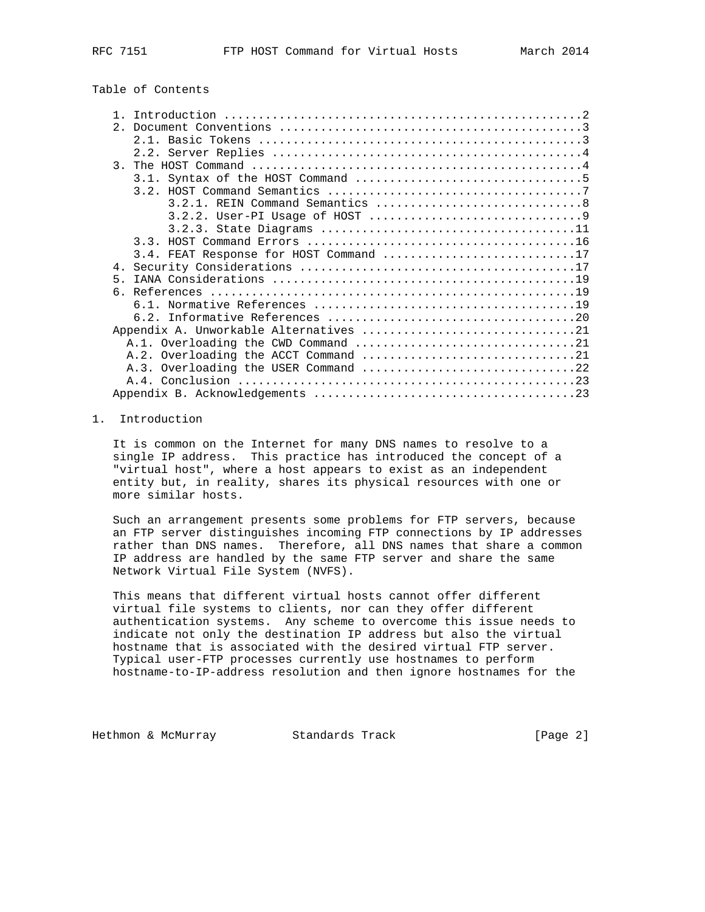| Table of Contents |  |
|-------------------|--|
|-------------------|--|

|       | 3.4. FEAT Response for HOST Command 17 |
|-------|----------------------------------------|
|       |                                        |
| $5 -$ |                                        |
|       |                                        |
|       |                                        |
|       |                                        |
|       |                                        |
|       |                                        |
|       |                                        |
|       |                                        |
|       |                                        |
|       |                                        |

## 1. Introduction

 It is common on the Internet for many DNS names to resolve to a single IP address. This practice has introduced the concept of a "virtual host", where a host appears to exist as an independent entity but, in reality, shares its physical resources with one or more similar hosts.

 Such an arrangement presents some problems for FTP servers, because an FTP server distinguishes incoming FTP connections by IP addresses rather than DNS names. Therefore, all DNS names that share a common IP address are handled by the same FTP server and share the same Network Virtual File System (NVFS).

 This means that different virtual hosts cannot offer different virtual file systems to clients, nor can they offer different authentication systems. Any scheme to overcome this issue needs to indicate not only the destination IP address but also the virtual hostname that is associated with the desired virtual FTP server. Typical user-FTP processes currently use hostnames to perform hostname-to-IP-address resolution and then ignore hostnames for the

Hethmon & McMurray **Standards Track** [Page 2]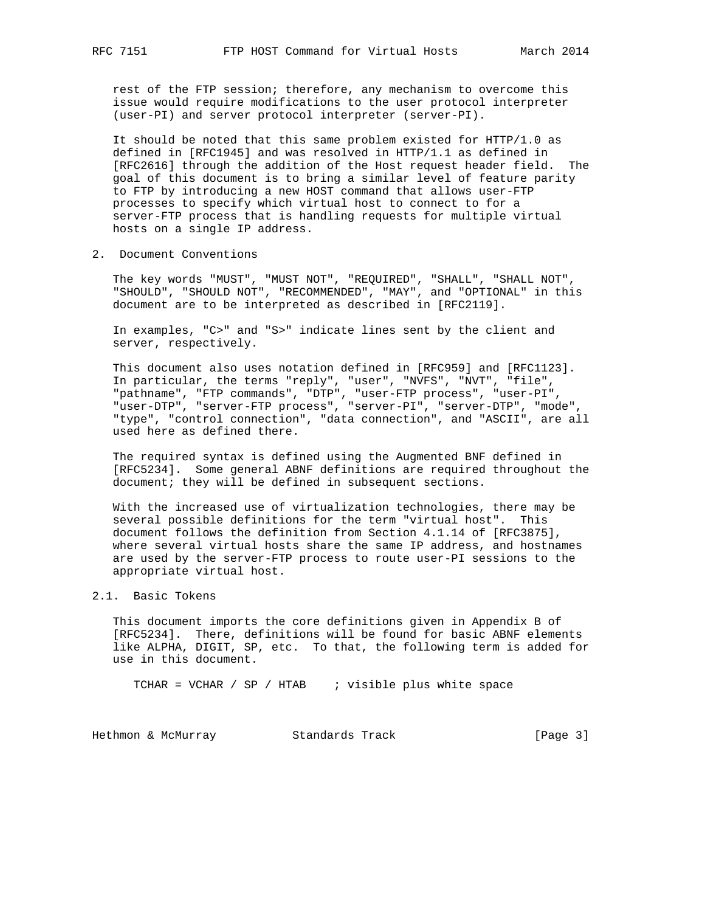rest of the FTP session; therefore, any mechanism to overcome this issue would require modifications to the user protocol interpreter (user-PI) and server protocol interpreter (server-PI).

 It should be noted that this same problem existed for HTTP/1.0 as defined in [RFC1945] and was resolved in HTTP/1.1 as defined in [RFC2616] through the addition of the Host request header field. The goal of this document is to bring a similar level of feature parity to FTP by introducing a new HOST command that allows user-FTP processes to specify which virtual host to connect to for a server-FTP process that is handling requests for multiple virtual hosts on a single IP address.

2. Document Conventions

 The key words "MUST", "MUST NOT", "REQUIRED", "SHALL", "SHALL NOT", "SHOULD", "SHOULD NOT", "RECOMMENDED", "MAY", and "OPTIONAL" in this document are to be interpreted as described in [RFC2119].

 In examples, "C>" and "S>" indicate lines sent by the client and server, respectively.

 This document also uses notation defined in [RFC959] and [RFC1123]. In particular, the terms "reply", "user", "NVFS", "NVT", "file", "pathname", "FTP commands", "DTP", "user-FTP process", "user-PI", "user-DTP", "server-FTP process", "server-PI", "server-DTP", "mode", "type", "control connection", "data connection", and "ASCII", are all used here as defined there.

 The required syntax is defined using the Augmented BNF defined in [RFC5234]. Some general ABNF definitions are required throughout the document; they will be defined in subsequent sections.

 With the increased use of virtualization technologies, there may be several possible definitions for the term "virtual host". This document follows the definition from Section 4.1.14 of [RFC3875], where several virtual hosts share the same IP address, and hostnames are used by the server-FTP process to route user-PI sessions to the appropriate virtual host.

### 2.1. Basic Tokens

 This document imports the core definitions given in Appendix B of [RFC5234]. There, definitions will be found for basic ABNF elements like ALPHA, DIGIT, SP, etc. To that, the following term is added for use in this document.

TCHAR = VCHAR / SP / HTAB : visible plus white space

Hethmon & McMurray **Standards Track** [Page 3]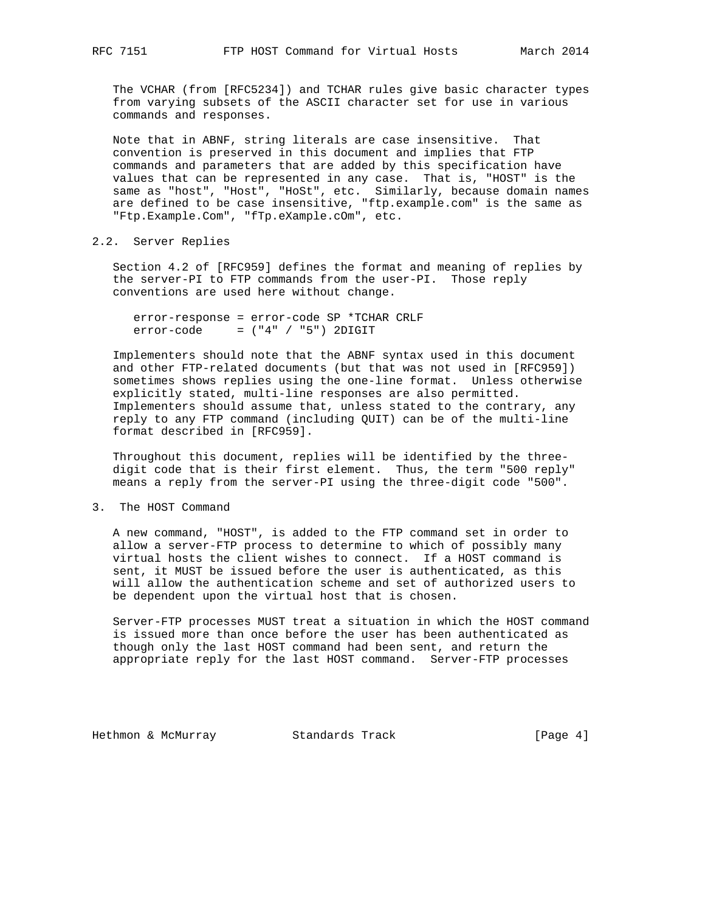The VCHAR (from [RFC5234]) and TCHAR rules give basic character types from varying subsets of the ASCII character set for use in various commands and responses.

 Note that in ABNF, string literals are case insensitive. That convention is preserved in this document and implies that FTP commands and parameters that are added by this specification have values that can be represented in any case. That is, "HOST" is the same as "host", "Host", "HoSt", etc. Similarly, because domain names are defined to be case insensitive, "ftp.example.com" is the same as "Ftp.Example.Com", "fTp.eXample.cOm", etc.

# 2.2. Server Replies

 Section 4.2 of [RFC959] defines the format and meaning of replies by the server-PI to FTP commands from the user-PI. Those reply conventions are used here without change.

 error-response = error-code SP \*TCHAR CRLF  $error-code = ("4" / "5") 2DIGHT$ 

 Implementers should note that the ABNF syntax used in this document and other FTP-related documents (but that was not used in [RFC959]) sometimes shows replies using the one-line format. Unless otherwise explicitly stated, multi-line responses are also permitted. Implementers should assume that, unless stated to the contrary, any reply to any FTP command (including QUIT) can be of the multi-line format described in [RFC959].

 Throughout this document, replies will be identified by the three digit code that is their first element. Thus, the term "500 reply" means a reply from the server-PI using the three-digit code "500".

### 3. The HOST Command

 A new command, "HOST", is added to the FTP command set in order to allow a server-FTP process to determine to which of possibly many virtual hosts the client wishes to connect. If a HOST command is sent, it MUST be issued before the user is authenticated, as this will allow the authentication scheme and set of authorized users to be dependent upon the virtual host that is chosen.

 Server-FTP processes MUST treat a situation in which the HOST command is issued more than once before the user has been authenticated as though only the last HOST command had been sent, and return the appropriate reply for the last HOST command. Server-FTP processes

Hethmon & McMurray **Standards Track** [Page 4]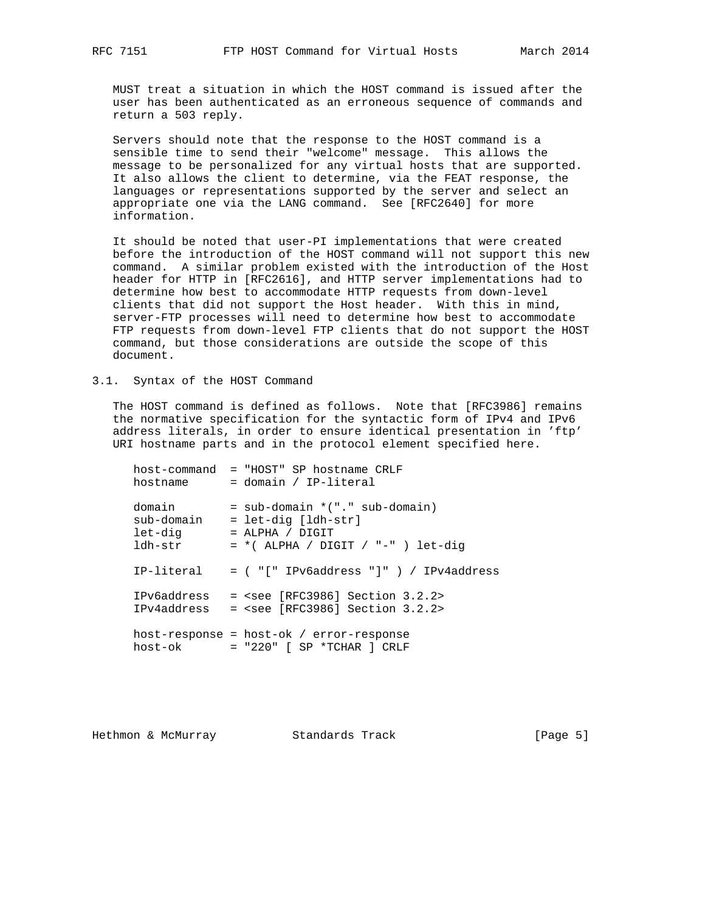MUST treat a situation in which the HOST command is issued after the user has been authenticated as an erroneous sequence of commands and return a 503 reply.

 Servers should note that the response to the HOST command is a sensible time to send their "welcome" message. This allows the message to be personalized for any virtual hosts that are supported. It also allows the client to determine, via the FEAT response, the languages or representations supported by the server and select an appropriate one via the LANG command. See [RFC2640] for more information.

 It should be noted that user-PI implementations that were created before the introduction of the HOST command will not support this new command. A similar problem existed with the introduction of the Host header for HTTP in [RFC2616], and HTTP server implementations had to determine how best to accommodate HTTP requests from down-level clients that did not support the Host header. With this in mind, server-FTP processes will need to determine how best to accommodate FTP requests from down-level FTP clients that do not support the HOST command, but those considerations are outside the scope of this document.

## 3.1. Syntax of the HOST Command

The HOST command is defined as follows. Note that [RFC3986] remains the normative specification for the syntactic form of IPv4 and IPv6 address literals, in order to ensure identical presentation in 'ftp' URI hostname parts and in the protocol element specified here.

| host-command<br>hostname                   | = "HOST" SP hostname CRLF<br>= domain / IP-literal                                                                    |
|--------------------------------------------|-----------------------------------------------------------------------------------------------------------------------|
| domain<br>sub-domain<br>let-dig<br>ldh-str | $=$ sub-domain $*(".$ sub-domain)<br>= let-dig [ldh-str]<br>$=$ ALPHA / DIGIT<br>$= *$ (ALPHA / DIGIT / "-" ) let-dig |
|                                            | $IP-lateral = ( "[" IPv6address " ]" ) / IPv4address$                                                                 |
| <b>IPv6address</b><br>IPv4address          | $=$ <see 3.2.2="" [rfc3986]="" section=""><br/><math>=</math> <see 3.2.2="" [rfc3986]="" section=""></see></see>      |
| host-ok                                    | $host-response = host-ok / error-response$<br>$=$ "220" $\lceil$ SP *TCHAR $\lceil$ CRLF                              |

Hethmon & McMurray **Standards Track** [Page 5]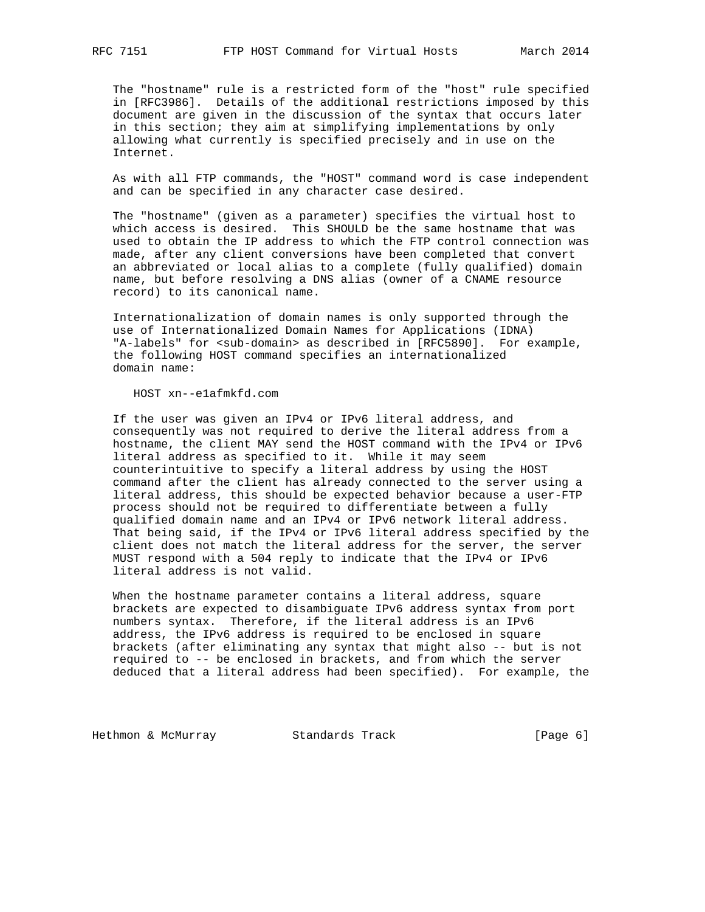The "hostname" rule is a restricted form of the "host" rule specified in [RFC3986]. Details of the additional restrictions imposed by this document are given in the discussion of the syntax that occurs later in this section; they aim at simplifying implementations by only allowing what currently is specified precisely and in use on the Internet.

 As with all FTP commands, the "HOST" command word is case independent and can be specified in any character case desired.

 The "hostname" (given as a parameter) specifies the virtual host to which access is desired. This SHOULD be the same hostname that was used to obtain the IP address to which the FTP control connection was made, after any client conversions have been completed that convert an abbreviated or local alias to a complete (fully qualified) domain name, but before resolving a DNS alias (owner of a CNAME resource record) to its canonical name.

 Internationalization of domain names is only supported through the use of Internationalized Domain Names for Applications (IDNA) "A-labels" for <sub-domain> as described in [RFC5890]. For example, the following HOST command specifies an internationalized domain name:

HOST xn--e1afmkfd.com

 If the user was given an IPv4 or IPv6 literal address, and consequently was not required to derive the literal address from a hostname, the client MAY send the HOST command with the IPv4 or IPv6 literal address as specified to it. While it may seem counterintuitive to specify a literal address by using the HOST command after the client has already connected to the server using a literal address, this should be expected behavior because a user-FTP process should not be required to differentiate between a fully qualified domain name and an IPv4 or IPv6 network literal address. That being said, if the IPv4 or IPv6 literal address specified by the client does not match the literal address for the server, the server MUST respond with a 504 reply to indicate that the IPv4 or IPv6 literal address is not valid.

When the hostname parameter contains a literal address, square brackets are expected to disambiguate IPv6 address syntax from port numbers syntax. Therefore, if the literal address is an IPv6 address, the IPv6 address is required to be enclosed in square brackets (after eliminating any syntax that might also -- but is not required to -- be enclosed in brackets, and from which the server deduced that a literal address had been specified). For example, the

Hethmon & McMurray **Standards Track** [Page 6]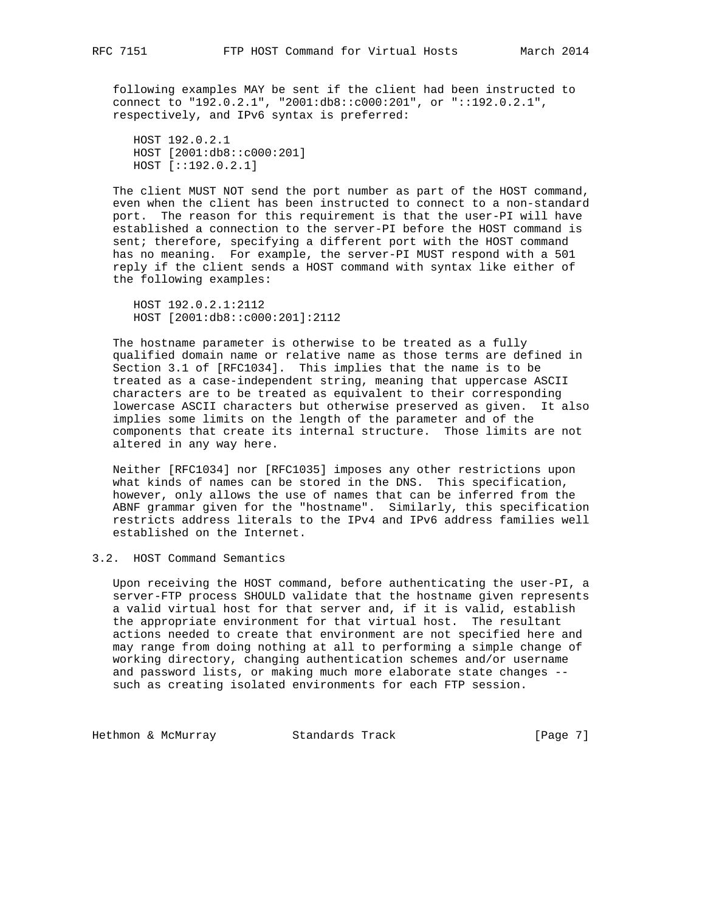following examples MAY be sent if the client had been instructed to connect to "192.0.2.1", "2001:db8::c000:201", or "::192.0.2.1", respectively, and IPv6 syntax is preferred:

 HOST 192.0.2.1 HOST [2001:db8::c000:201] HOST [::192.0.2.1]

 The client MUST NOT send the port number as part of the HOST command, even when the client has been instructed to connect to a non-standard port. The reason for this requirement is that the user-PI will have established a connection to the server-PI before the HOST command is sent; therefore, specifying a different port with the HOST command has no meaning. For example, the server-PI MUST respond with a 501 reply if the client sends a HOST command with syntax like either of the following examples:

 HOST 192.0.2.1:2112 HOST [2001:db8::c000:201]:2112

 The hostname parameter is otherwise to be treated as a fully qualified domain name or relative name as those terms are defined in Section 3.1 of [RFC1034]. This implies that the name is to be treated as a case-independent string, meaning that uppercase ASCII characters are to be treated as equivalent to their corresponding lowercase ASCII characters but otherwise preserved as given. It also implies some limits on the length of the parameter and of the components that create its internal structure. Those limits are not altered in any way here.

 Neither [RFC1034] nor [RFC1035] imposes any other restrictions upon what kinds of names can be stored in the DNS. This specification, however, only allows the use of names that can be inferred from the ABNF grammar given for the "hostname". Similarly, this specification restricts address literals to the IPv4 and IPv6 address families well established on the Internet.

# 3.2. HOST Command Semantics

 Upon receiving the HOST command, before authenticating the user-PI, a server-FTP process SHOULD validate that the hostname given represents a valid virtual host for that server and, if it is valid, establish the appropriate environment for that virtual host. The resultant actions needed to create that environment are not specified here and may range from doing nothing at all to performing a simple change of working directory, changing authentication schemes and/or username and password lists, or making much more elaborate state changes - such as creating isolated environments for each FTP session.

Hethmon & McMurray **Standards Track** [Page 7]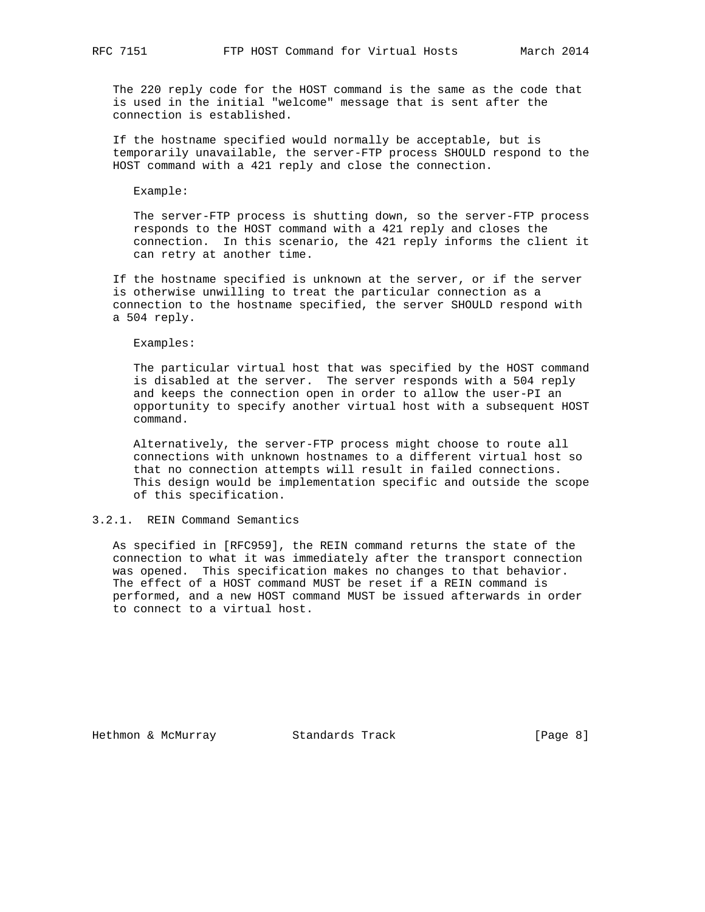The 220 reply code for the HOST command is the same as the code that is used in the initial "welcome" message that is sent after the connection is established.

 If the hostname specified would normally be acceptable, but is temporarily unavailable, the server-FTP process SHOULD respond to the HOST command with a 421 reply and close the connection.

Example:

 The server-FTP process is shutting down, so the server-FTP process responds to the HOST command with a 421 reply and closes the connection. In this scenario, the 421 reply informs the client it can retry at another time.

 If the hostname specified is unknown at the server, or if the server is otherwise unwilling to treat the particular connection as a connection to the hostname specified, the server SHOULD respond with a 504 reply.

Examples:

 The particular virtual host that was specified by the HOST command is disabled at the server. The server responds with a 504 reply and keeps the connection open in order to allow the user-PI an opportunity to specify another virtual host with a subsequent HOST command.

 Alternatively, the server-FTP process might choose to route all connections with unknown hostnames to a different virtual host so that no connection attempts will result in failed connections. This design would be implementation specific and outside the scope of this specification.

#### 3.2.1. REIN Command Semantics

 As specified in [RFC959], the REIN command returns the state of the connection to what it was immediately after the transport connection was opened. This specification makes no changes to that behavior. The effect of a HOST command MUST be reset if a REIN command is performed, and a new HOST command MUST be issued afterwards in order to connect to a virtual host.

Hethmon & McMurray **Standards Track** [Page 8]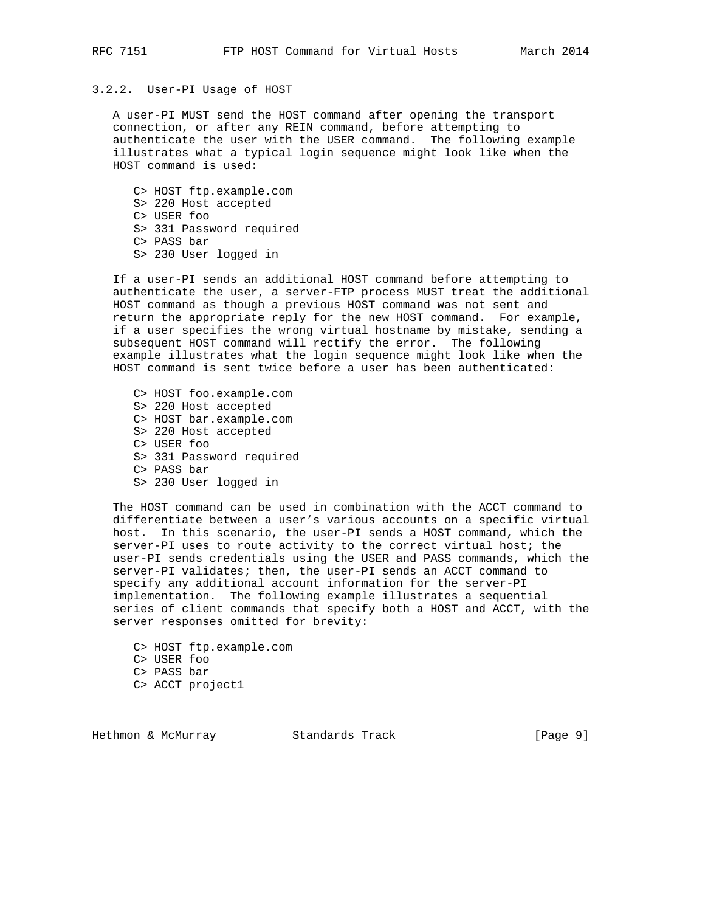# 3.2.2. User-PI Usage of HOST

 A user-PI MUST send the HOST command after opening the transport connection, or after any REIN command, before attempting to authenticate the user with the USER command. The following example illustrates what a typical login sequence might look like when the HOST command is used:

 C> HOST ftp.example.com S> 220 Host accepted C> USER foo S> 331 Password required C> PASS bar S> 230 User logged in

 If a user-PI sends an additional HOST command before attempting to authenticate the user, a server-FTP process MUST treat the additional HOST command as though a previous HOST command was not sent and return the appropriate reply for the new HOST command. For example, if a user specifies the wrong virtual hostname by mistake, sending a subsequent HOST command will rectify the error. The following example illustrates what the login sequence might look like when the HOST command is sent twice before a user has been authenticated:

 C> HOST foo.example.com S> 220 Host accepted C> HOST bar.example.com S> 220 Host accepted C> USER foo S> 331 Password required C> PASS bar S> 230 User logged in

 The HOST command can be used in combination with the ACCT command to differentiate between a user's various accounts on a specific virtual host. In this scenario, the user-PI sends a HOST command, which the server-PI uses to route activity to the correct virtual host; the user-PI sends credentials using the USER and PASS commands, which the server-PI validates; then, the user-PI sends an ACCT command to specify any additional account information for the server-PI implementation. The following example illustrates a sequential series of client commands that specify both a HOST and ACCT, with the server responses omitted for brevity:

 C> HOST ftp.example.com C> USER foo C> PASS bar C> ACCT project1

Hethmon & McMurray **Standards Track** [Page 9]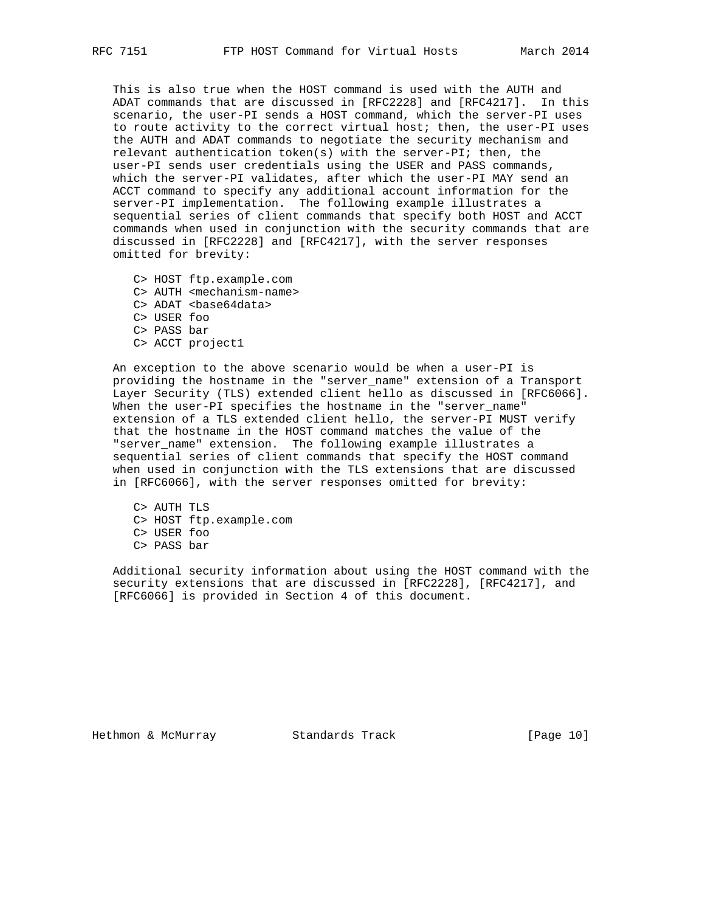This is also true when the HOST command is used with the AUTH and ADAT commands that are discussed in [RFC2228] and [RFC4217]. In this scenario, the user-PI sends a HOST command, which the server-PI uses to route activity to the correct virtual host; then, the user-PI uses the AUTH and ADAT commands to negotiate the security mechanism and relevant authentication token(s) with the server-PI; then, the user-PI sends user credentials using the USER and PASS commands, which the server-PI validates, after which the user-PI MAY send an ACCT command to specify any additional account information for the server-PI implementation. The following example illustrates a sequential series of client commands that specify both HOST and ACCT commands when used in conjunction with the security commands that are discussed in [RFC2228] and [RFC4217], with the server responses omitted for brevity:

 C> HOST ftp.example.com C> AUTH <mechanism-name> C> ADAT <br/>base64data> C> USER foo C> PASS bar C> ACCT project1

 An exception to the above scenario would be when a user-PI is providing the hostname in the "server\_name" extension of a Transport Layer Security (TLS) extended client hello as discussed in [RFC6066]. When the user-PI specifies the hostname in the "server\_name" extension of a TLS extended client hello, the server-PI MUST verify that the hostname in the HOST command matches the value of the "server\_name" extension. The following example illustrates a sequential series of client commands that specify the HOST command when used in conjunction with the TLS extensions that are discussed in [RFC6066], with the server responses omitted for brevity:

 C> AUTH TLS C> HOST ftp.example.com C> USER foo C> PASS bar

 Additional security information about using the HOST command with the security extensions that are discussed in [RFC2228], [RFC4217], and [RFC6066] is provided in Section 4 of this document.

Hethmon & McMurray Standards Track [Page 10]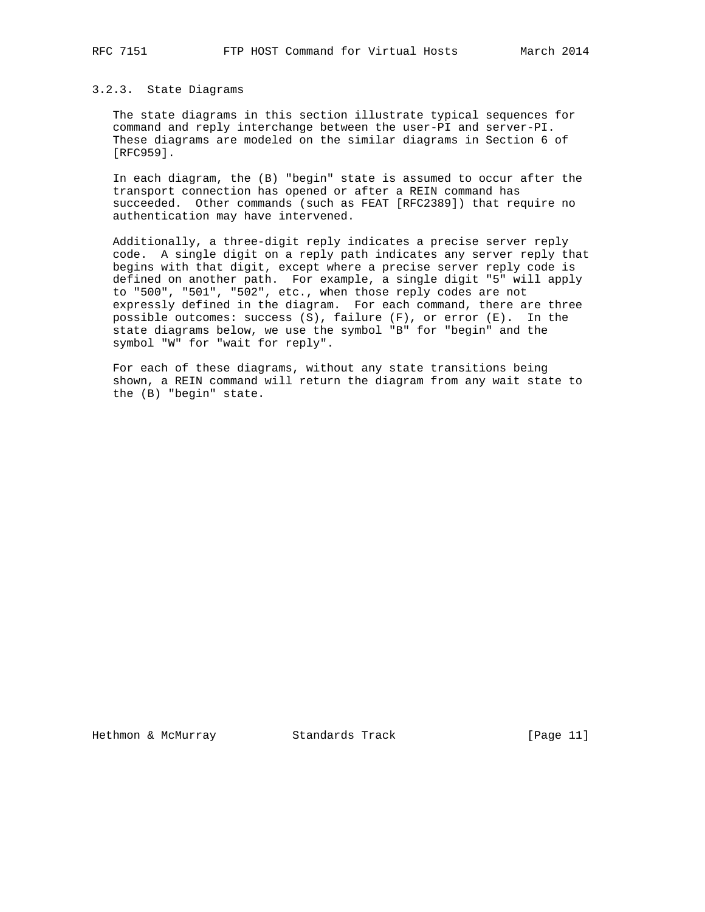## 3.2.3. State Diagrams

 The state diagrams in this section illustrate typical sequences for command and reply interchange between the user-PI and server-PI. These diagrams are modeled on the similar diagrams in Section 6 of [RFC959].

 In each diagram, the (B) "begin" state is assumed to occur after the transport connection has opened or after a REIN command has succeeded. Other commands (such as FEAT [RFC2389]) that require no authentication may have intervened.

 Additionally, a three-digit reply indicates a precise server reply code. A single digit on a reply path indicates any server reply that begins with that digit, except where a precise server reply code is defined on another path. For example, a single digit "5" will apply to "500", "501", "502", etc., when those reply codes are not expressly defined in the diagram. For each command, there are three possible outcomes: success (S), failure (F), or error (E). In the state diagrams below, we use the symbol "B" for "begin" and the symbol "W" for "wait for reply".

 For each of these diagrams, without any state transitions being shown, a REIN command will return the diagram from any wait state to the (B) "begin" state.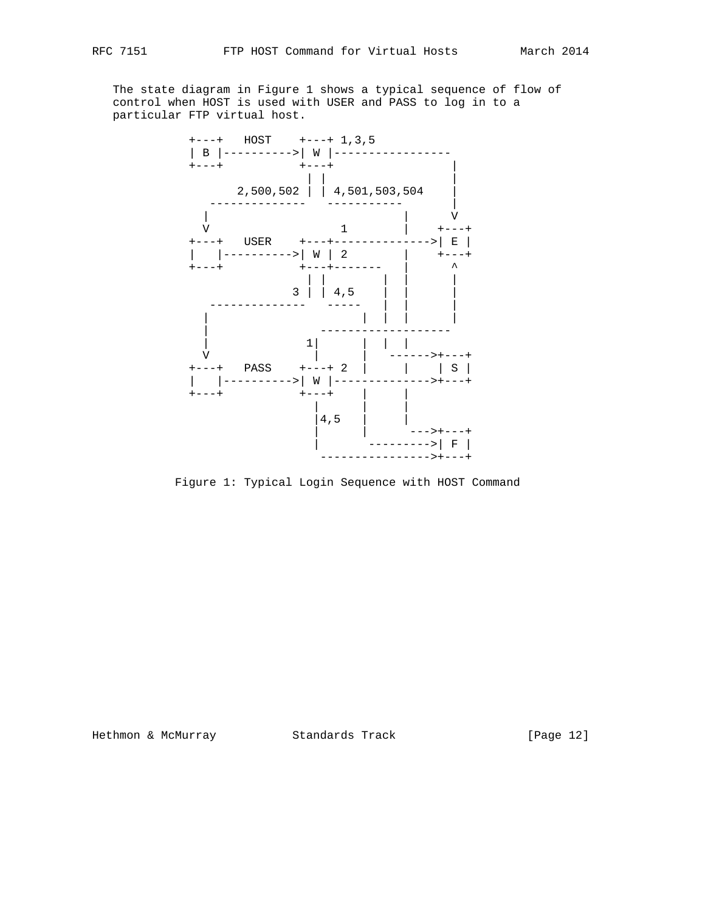The state diagram in Figure 1 shows a typical sequence of flow of control when HOST is used with USER and PASS to log in to a particular FTP virtual host.



Figure 1: Typical Login Sequence with HOST Command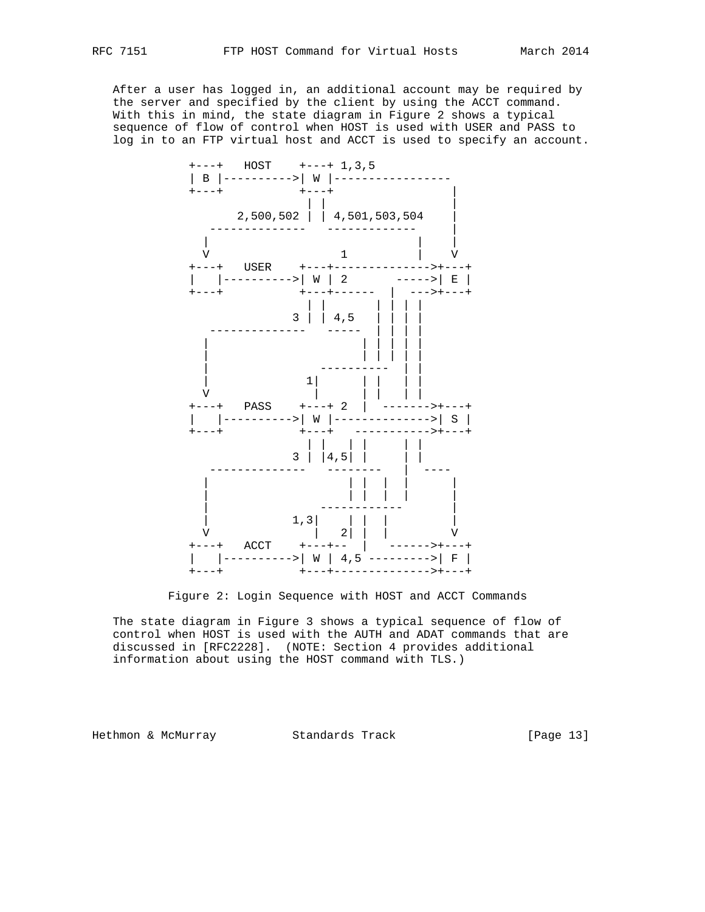After a user has logged in, an additional account may be required by the server and specified by the client by using the ACCT command. With this in mind, the state diagram in Figure 2 shows a typical sequence of flow of control when HOST is used with USER and PASS to log in to an FTP virtual host and ACCT is used to specify an account.



Figure 2: Login Sequence with HOST and ACCT Commands

 The state diagram in Figure 3 shows a typical sequence of flow of control when HOST is used with the AUTH and ADAT commands that are discussed in [RFC2228]. (NOTE: Section 4 provides additional information about using the HOST command with TLS.)

Hethmon & McMurray Standards Track [Page 13]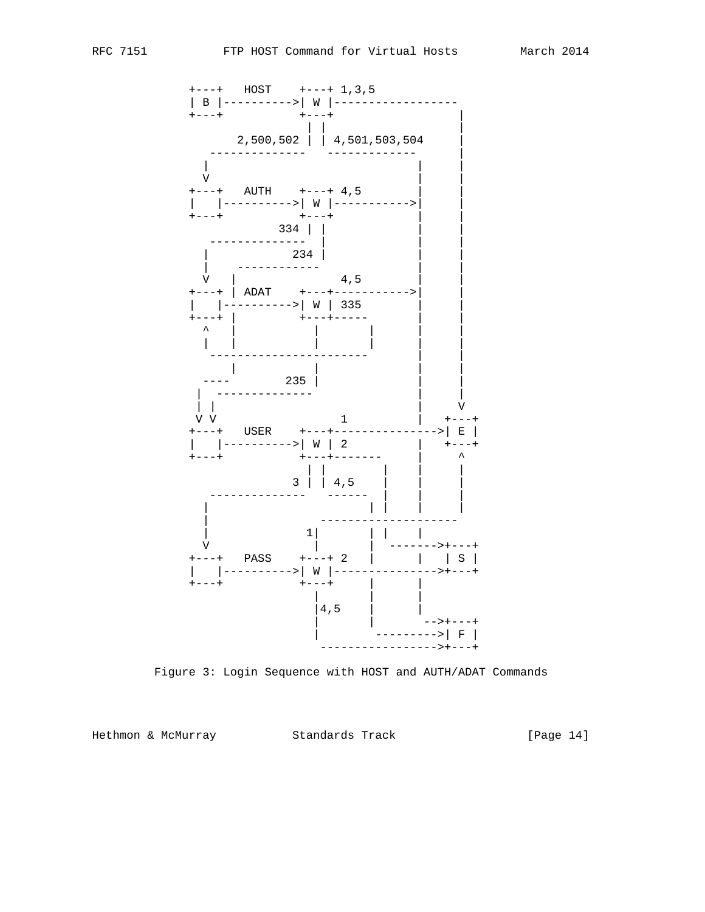

Figure 3: Login Sequence with HOST and AUTH/ADAT Commands

Hethmon & McMurray Standards Track

[Page 14]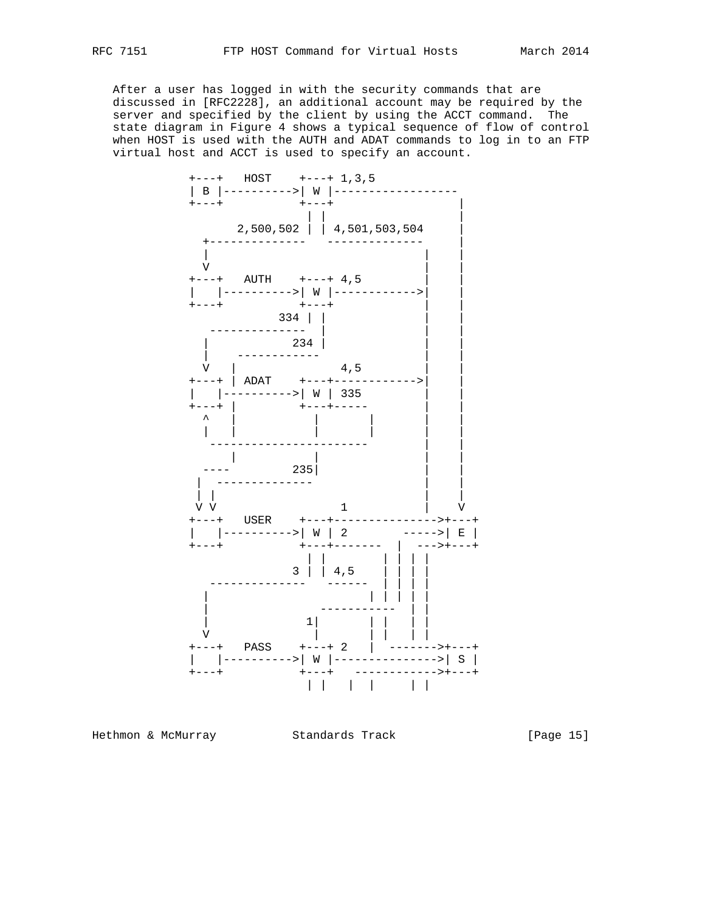After a user has logged in with the security commands that are discussed in [RFC2228], an additional account may be required by the server and specified by the client by using the ACCT command. The state diagram in Figure 4 shows a typical sequence of flow of control when HOST is used with the AUTH and ADAT commands to log in to an FTP virtual host and ACCT is used to specify an account.



Hethmon & McMurray Standards Track [Page 15]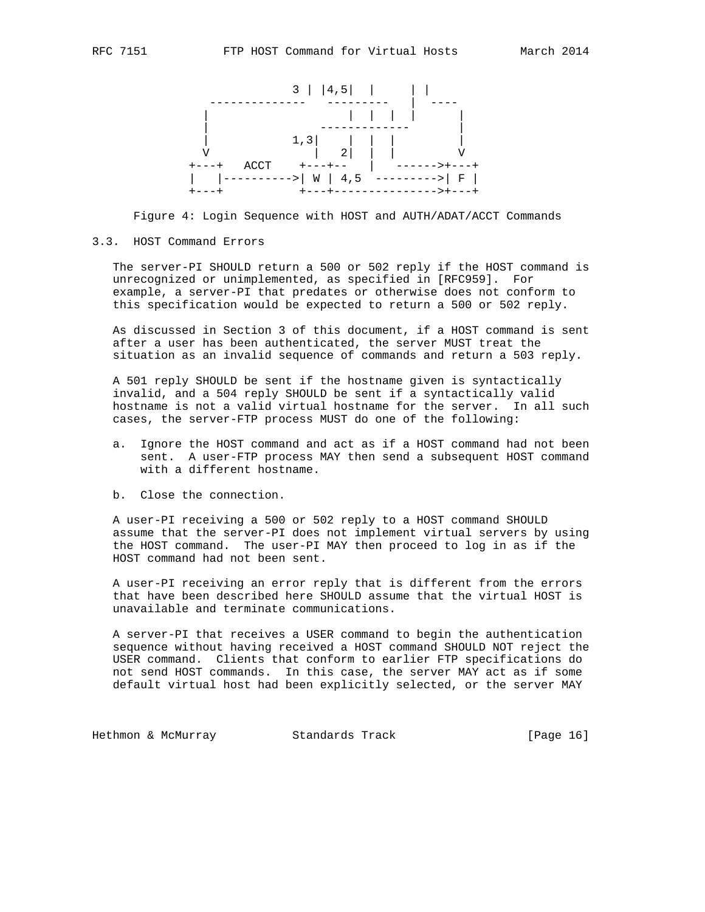

Figure 4: Login Sequence with HOST and AUTH/ADAT/ACCT Commands

#### 3.3. HOST Command Errors

 The server-PI SHOULD return a 500 or 502 reply if the HOST command is unrecognized or unimplemented, as specified in [RFC959]. For example, a server-PI that predates or otherwise does not conform to this specification would be expected to return a 500 or 502 reply.

 As discussed in Section 3 of this document, if a HOST command is sent after a user has been authenticated, the server MUST treat the situation as an invalid sequence of commands and return a 503 reply.

 A 501 reply SHOULD be sent if the hostname given is syntactically invalid, and a 504 reply SHOULD be sent if a syntactically valid hostname is not a valid virtual hostname for the server. In all such cases, the server-FTP process MUST do one of the following:

- a. Ignore the HOST command and act as if a HOST command had not been sent. A user-FTP process MAY then send a subsequent HOST command with a different hostname.
- b. Close the connection.

 A user-PI receiving a 500 or 502 reply to a HOST command SHOULD assume that the server-PI does not implement virtual servers by using the HOST command. The user-PI MAY then proceed to log in as if the HOST command had not been sent.

 A user-PI receiving an error reply that is different from the errors that have been described here SHOULD assume that the virtual HOST is unavailable and terminate communications.

 A server-PI that receives a USER command to begin the authentication sequence without having received a HOST command SHOULD NOT reject the USER command. Clients that conform to earlier FTP specifications do not send HOST commands. In this case, the server MAY act as if some default virtual host had been explicitly selected, or the server MAY

Hethmon & McMurray Standards Track [Page 16]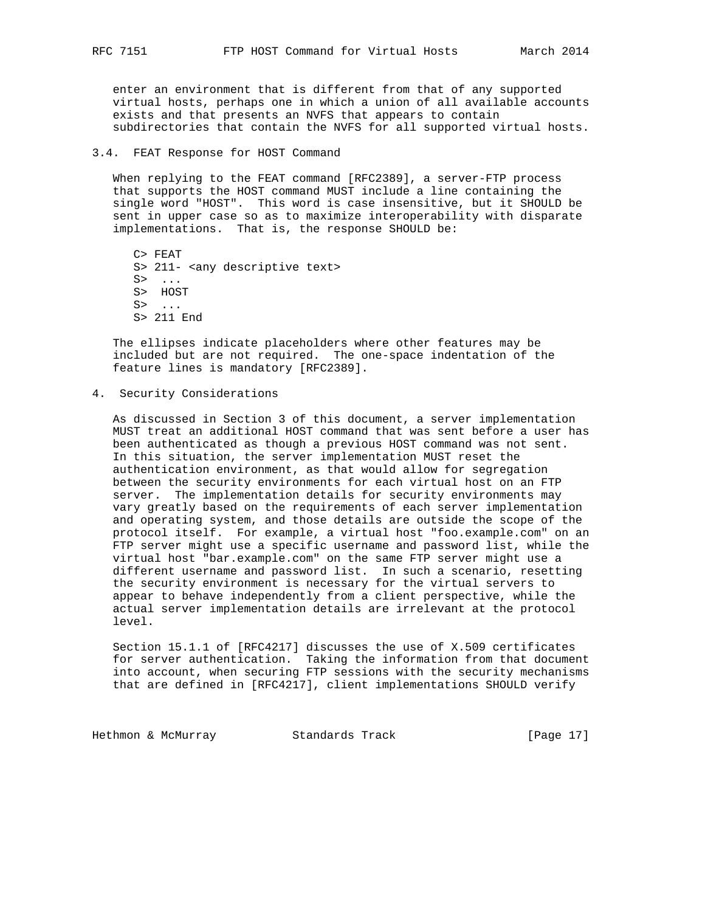enter an environment that is different from that of any supported virtual hosts, perhaps one in which a union of all available accounts exists and that presents an NVFS that appears to contain subdirectories that contain the NVFS for all supported virtual hosts.

### 3.4. FEAT Response for HOST Command

 When replying to the FEAT command [RFC2389], a server-FTP process that supports the HOST command MUST include a line containing the single word "HOST". This word is case insensitive, but it SHOULD be sent in upper case so as to maximize interoperability with disparate implementations. That is, the response SHOULD be:

 C> FEAT S> 211- <any descriptive text>  $S>$  ... S> HOST S> ... S> 211 End

 The ellipses indicate placeholders where other features may be included but are not required. The one-space indentation of the feature lines is mandatory [RFC2389].

4. Security Considerations

 As discussed in Section 3 of this document, a server implementation MUST treat an additional HOST command that was sent before a user has been authenticated as though a previous HOST command was not sent. In this situation, the server implementation MUST reset the authentication environment, as that would allow for segregation between the security environments for each virtual host on an FTP server. The implementation details for security environments may vary greatly based on the requirements of each server implementation and operating system, and those details are outside the scope of the protocol itself. For example, a virtual host "foo.example.com" on an FTP server might use a specific username and password list, while the virtual host "bar.example.com" on the same FTP server might use a different username and password list. In such a scenario, resetting the security environment is necessary for the virtual servers to appear to behave independently from a client perspective, while the actual server implementation details are irrelevant at the protocol level.

 Section 15.1.1 of [RFC4217] discusses the use of X.509 certificates for server authentication. Taking the information from that document into account, when securing FTP sessions with the security mechanisms that are defined in [RFC4217], client implementations SHOULD verify

Hethmon & McMurray Standards Track [Page 17]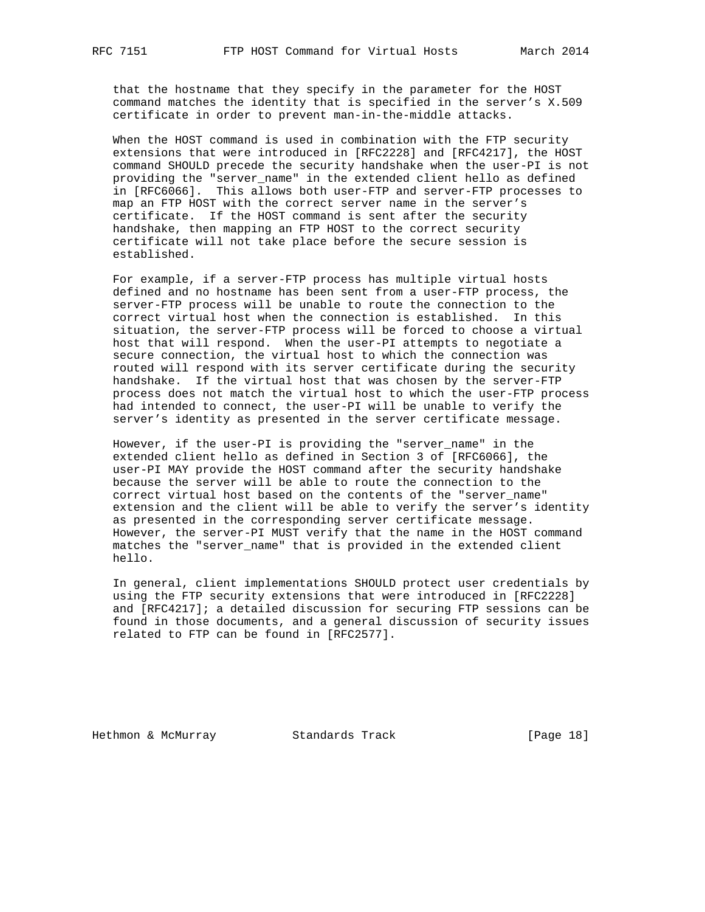that the hostname that they specify in the parameter for the HOST command matches the identity that is specified in the server's X.509 certificate in order to prevent man-in-the-middle attacks.

 When the HOST command is used in combination with the FTP security extensions that were introduced in [RFC2228] and [RFC4217], the HOST command SHOULD precede the security handshake when the user-PI is not providing the "server\_name" in the extended client hello as defined in [RFC6066]. This allows both user-FTP and server-FTP processes to map an FTP HOST with the correct server name in the server's certificate. If the HOST command is sent after the security handshake, then mapping an FTP HOST to the correct security certificate will not take place before the secure session is established.

 For example, if a server-FTP process has multiple virtual hosts defined and no hostname has been sent from a user-FTP process, the server-FTP process will be unable to route the connection to the correct virtual host when the connection is established. In this situation, the server-FTP process will be forced to choose a virtual host that will respond. When the user-PI attempts to negotiate a secure connection, the virtual host to which the connection was routed will respond with its server certificate during the security handshake. If the virtual host that was chosen by the server-FTP process does not match the virtual host to which the user-FTP process had intended to connect, the user-PI will be unable to verify the server's identity as presented in the server certificate message.

 However, if the user-PI is providing the "server\_name" in the extended client hello as defined in Section 3 of [RFC6066], the user-PI MAY provide the HOST command after the security handshake because the server will be able to route the connection to the correct virtual host based on the contents of the "server\_name" extension and the client will be able to verify the server's identity as presented in the corresponding server certificate message. However, the server-PI MUST verify that the name in the HOST command matches the "server\_name" that is provided in the extended client hello.

 In general, client implementations SHOULD protect user credentials by using the FTP security extensions that were introduced in [RFC2228] and [RFC4217]; a detailed discussion for securing FTP sessions can be found in those documents, and a general discussion of security issues related to FTP can be found in [RFC2577].

Hethmon & McMurray Standards Track [Page 18]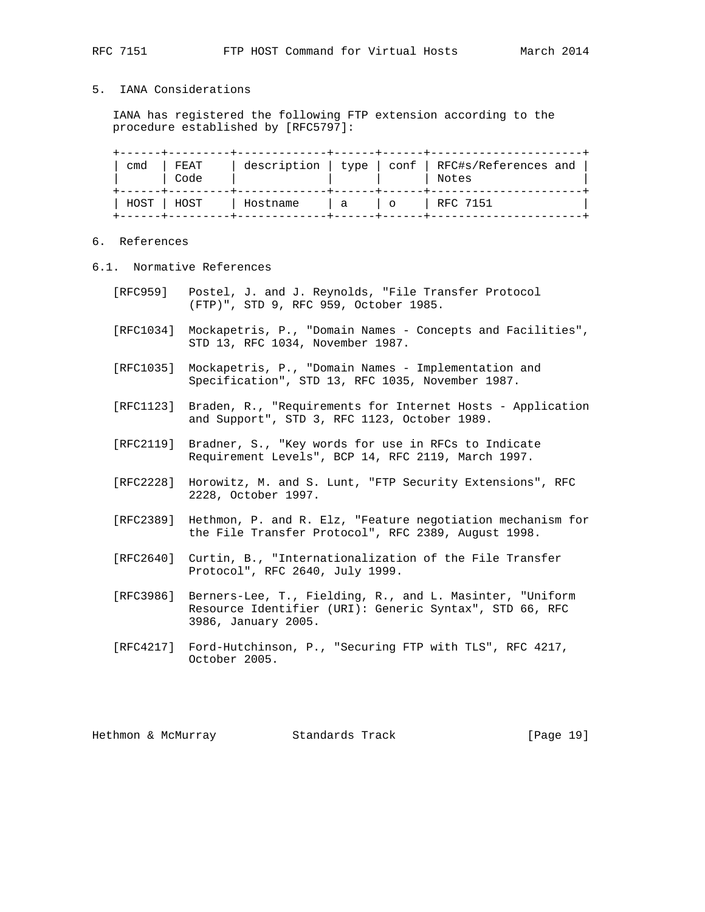## 5. IANA Considerations

 IANA has registered the following FTP extension according to the procedure established by [RFC5797]:

| cmd         | FEAT<br>Code |          |                |     | description   type   conf   RFC#s/References and<br>Notes |
|-------------|--------------|----------|----------------|-----|-----------------------------------------------------------|
| HOST   HOST |              | Hostname | $\overline{a}$ | - 0 | RFC 7151                                                  |

# 6. References

- 6.1. Normative References
	- [RFC959] Postel, J. and J. Reynolds, "File Transfer Protocol (FTP)", STD 9, RFC 959, October 1985.
	- [RFC1034] Mockapetris, P., "Domain Names Concepts and Facilities", STD 13, RFC 1034, November 1987.
	- [RFC1035] Mockapetris, P., "Domain Names Implementation and Specification", STD 13, RFC 1035, November 1987.
	- [RFC1123] Braden, R., "Requirements for Internet Hosts Application and Support", STD 3, RFC 1123, October 1989.
	- [RFC2119] Bradner, S., "Key words for use in RFCs to Indicate Requirement Levels", BCP 14, RFC 2119, March 1997.
	- [RFC2228] Horowitz, M. and S. Lunt, "FTP Security Extensions", RFC 2228, October 1997.
	- [RFC2389] Hethmon, P. and R. Elz, "Feature negotiation mechanism for the File Transfer Protocol", RFC 2389, August 1998.
	- [RFC2640] Curtin, B., "Internationalization of the File Transfer Protocol", RFC 2640, July 1999.
	- [RFC3986] Berners-Lee, T., Fielding, R., and L. Masinter, "Uniform Resource Identifier (URI): Generic Syntax", STD 66, RFC 3986, January 2005.
	- [RFC4217] Ford-Hutchinson, P., "Securing FTP with TLS", RFC 4217, October 2005.

Hethmon & McMurray Standards Track [Page 19]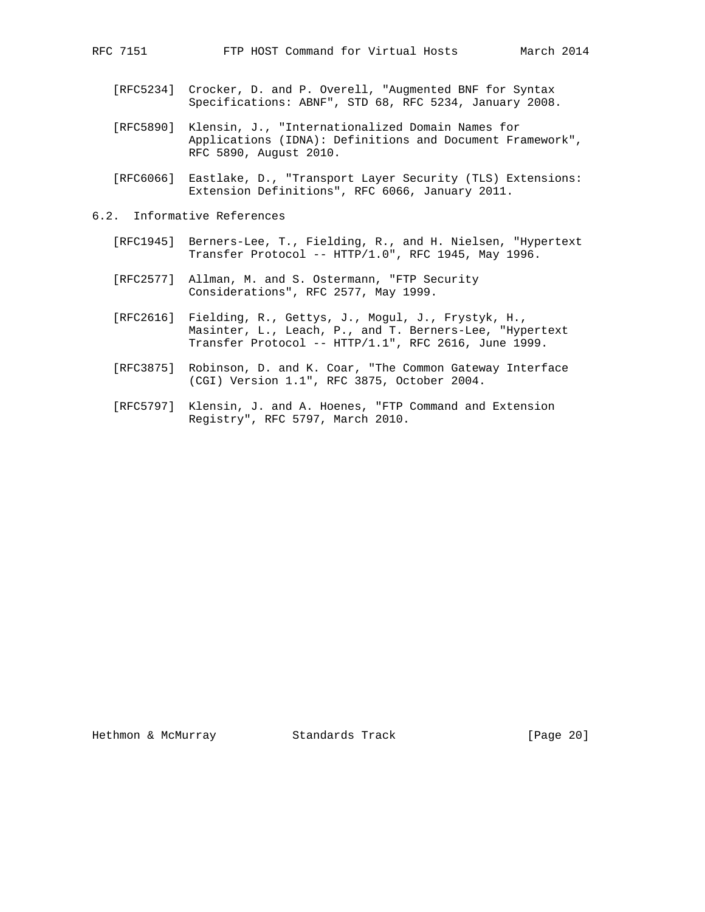- [RFC5234] Crocker, D. and P. Overell, "Augmented BNF for Syntax Specifications: ABNF", STD 68, RFC 5234, January 2008.
- [RFC5890] Klensin, J., "Internationalized Domain Names for Applications (IDNA): Definitions and Document Framework", RFC 5890, August 2010.
- [RFC6066] Eastlake, D., "Transport Layer Security (TLS) Extensions: Extension Definitions", RFC 6066, January 2011.
- 6.2. Informative References
	- [RFC1945] Berners-Lee, T., Fielding, R., and H. Nielsen, "Hypertext Transfer Protocol -- HTTP/1.0", RFC 1945, May 1996.
	- [RFC2577] Allman, M. and S. Ostermann, "FTP Security Considerations", RFC 2577, May 1999.
	- [RFC2616] Fielding, R., Gettys, J., Mogul, J., Frystyk, H., Masinter, L., Leach, P., and T. Berners-Lee, "Hypertext Transfer Protocol -- HTTP/1.1", RFC 2616, June 1999.
	- [RFC3875] Robinson, D. and K. Coar, "The Common Gateway Interface (CGI) Version 1.1", RFC 3875, October 2004.
	- [RFC5797] Klensin, J. and A. Hoenes, "FTP Command and Extension Registry", RFC 5797, March 2010.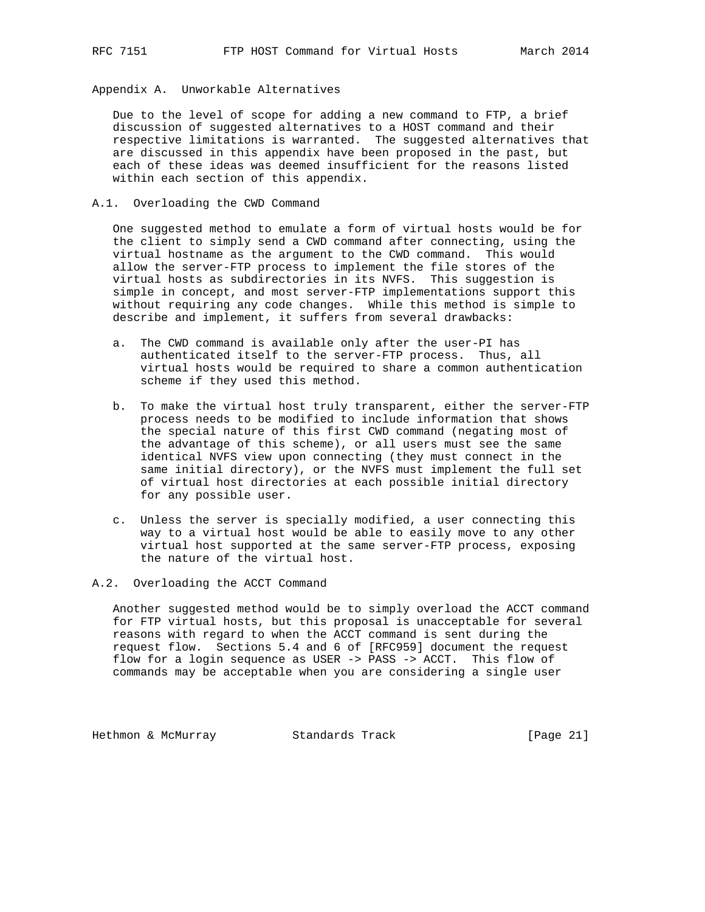Appendix A. Unworkable Alternatives

 Due to the level of scope for adding a new command to FTP, a brief discussion of suggested alternatives to a HOST command and their respective limitations is warranted. The suggested alternatives that are discussed in this appendix have been proposed in the past, but each of these ideas was deemed insufficient for the reasons listed within each section of this appendix.

A.1. Overloading the CWD Command

 One suggested method to emulate a form of virtual hosts would be for the client to simply send a CWD command after connecting, using the virtual hostname as the argument to the CWD command. This would allow the server-FTP process to implement the file stores of the virtual hosts as subdirectories in its NVFS. This suggestion is simple in concept, and most server-FTP implementations support this without requiring any code changes. While this method is simple to describe and implement, it suffers from several drawbacks:

- a. The CWD command is available only after the user-PI has authenticated itself to the server-FTP process. Thus, all virtual hosts would be required to share a common authentication scheme if they used this method.
- b. To make the virtual host truly transparent, either the server-FTP process needs to be modified to include information that shows the special nature of this first CWD command (negating most of the advantage of this scheme), or all users must see the same identical NVFS view upon connecting (they must connect in the same initial directory), or the NVFS must implement the full set of virtual host directories at each possible initial directory for any possible user.
- c. Unless the server is specially modified, a user connecting this way to a virtual host would be able to easily move to any other virtual host supported at the same server-FTP process, exposing the nature of the virtual host.

A.2. Overloading the ACCT Command

 Another suggested method would be to simply overload the ACCT command for FTP virtual hosts, but this proposal is unacceptable for several reasons with regard to when the ACCT command is sent during the request flow. Sections 5.4 and 6 of [RFC959] document the request flow for a login sequence as USER -> PASS -> ACCT. This flow of commands may be acceptable when you are considering a single user

Hethmon & McMurray Standards Track [Page 21]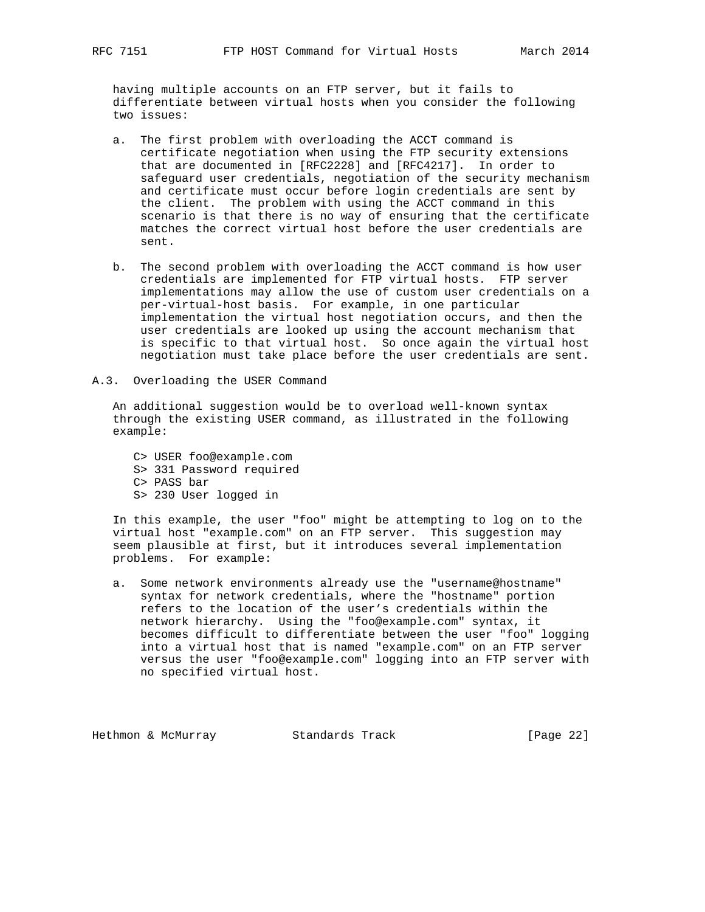having multiple accounts on an FTP server, but it fails to differentiate between virtual hosts when you consider the following two issues:

- a. The first problem with overloading the ACCT command is certificate negotiation when using the FTP security extensions that are documented in [RFC2228] and [RFC4217]. In order to safeguard user credentials, negotiation of the security mechanism and certificate must occur before login credentials are sent by the client. The problem with using the ACCT command in this scenario is that there is no way of ensuring that the certificate matches the correct virtual host before the user credentials are sent.
- b. The second problem with overloading the ACCT command is how user credentials are implemented for FTP virtual hosts. FTP server implementations may allow the use of custom user credentials on a per-virtual-host basis. For example, in one particular implementation the virtual host negotiation occurs, and then the user credentials are looked up using the account mechanism that is specific to that virtual host. So once again the virtual host negotiation must take place before the user credentials are sent.
- A.3. Overloading the USER Command

 An additional suggestion would be to overload well-known syntax through the existing USER command, as illustrated in the following example:

 C> USER foo@example.com S> 331 Password required C> PASS bar S> 230 User logged in

 In this example, the user "foo" might be attempting to log on to the virtual host "example.com" on an FTP server. This suggestion may seem plausible at first, but it introduces several implementation problems. For example:

 a. Some network environments already use the "username@hostname" syntax for network credentials, where the "hostname" portion refers to the location of the user's credentials within the network hierarchy. Using the "foo@example.com" syntax, it becomes difficult to differentiate between the user "foo" logging into a virtual host that is named "example.com" on an FTP server versus the user "foo@example.com" logging into an FTP server with no specified virtual host.

Hethmon & McMurray Standards Track [Page 22]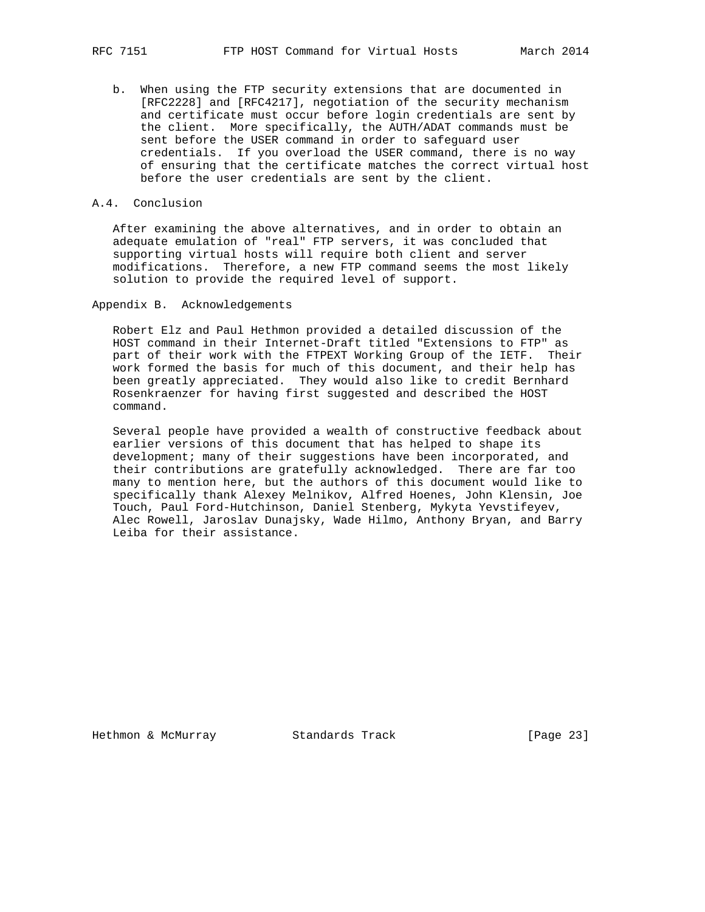b. When using the FTP security extensions that are documented in [RFC2228] and [RFC4217], negotiation of the security mechanism and certificate must occur before login credentials are sent by the client. More specifically, the AUTH/ADAT commands must be sent before the USER command in order to safeguard user credentials. If you overload the USER command, there is no way of ensuring that the certificate matches the correct virtual host before the user credentials are sent by the client.

### A.4. Conclusion

 After examining the above alternatives, and in order to obtain an adequate emulation of "real" FTP servers, it was concluded that supporting virtual hosts will require both client and server modifications. Therefore, a new FTP command seems the most likely solution to provide the required level of support.

Appendix B. Acknowledgements

 Robert Elz and Paul Hethmon provided a detailed discussion of the HOST command in their Internet-Draft titled "Extensions to FTP" as part of their work with the FTPEXT Working Group of the IETF. Their work formed the basis for much of this document, and their help has been greatly appreciated. They would also like to credit Bernhard Rosenkraenzer for having first suggested and described the HOST command.

 Several people have provided a wealth of constructive feedback about earlier versions of this document that has helped to shape its development; many of their suggestions have been incorporated, and their contributions are gratefully acknowledged. There are far too many to mention here, but the authors of this document would like to specifically thank Alexey Melnikov, Alfred Hoenes, John Klensin, Joe Touch, Paul Ford-Hutchinson, Daniel Stenberg, Mykyta Yevstifeyev, Alec Rowell, Jaroslav Dunajsky, Wade Hilmo, Anthony Bryan, and Barry Leiba for their assistance.

Hethmon & McMurray Standards Track [Page 23]